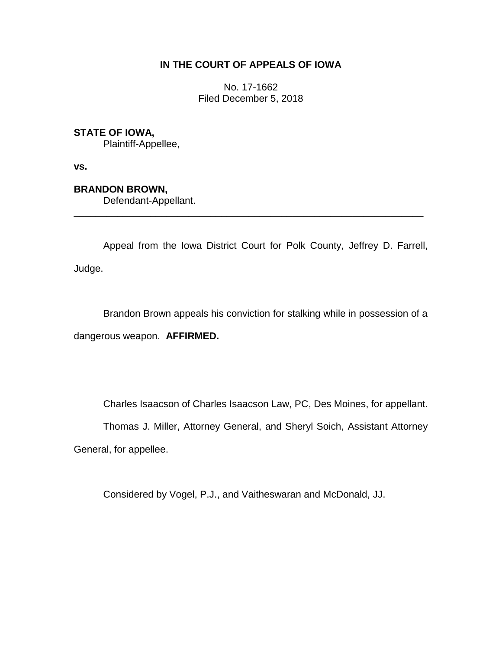# **IN THE COURT OF APPEALS OF IOWA**

No. 17-1662 Filed December 5, 2018

# **STATE OF IOWA,**

Plaintiff-Appellee,

**vs.**

# **BRANDON BROWN,**

Defendant-Appellant.

Appeal from the Iowa District Court for Polk County, Jeffrey D. Farrell, Judge.

\_\_\_\_\_\_\_\_\_\_\_\_\_\_\_\_\_\_\_\_\_\_\_\_\_\_\_\_\_\_\_\_\_\_\_\_\_\_\_\_\_\_\_\_\_\_\_\_\_\_\_\_\_\_\_\_\_\_\_\_\_\_\_\_

Brandon Brown appeals his conviction for stalking while in possession of a dangerous weapon. **AFFIRMED.**

Charles Isaacson of Charles Isaacson Law, PC, Des Moines, for appellant.

Thomas J. Miller, Attorney General, and Sheryl Soich, Assistant Attorney General, for appellee.

Considered by Vogel, P.J., and Vaitheswaran and McDonald, JJ.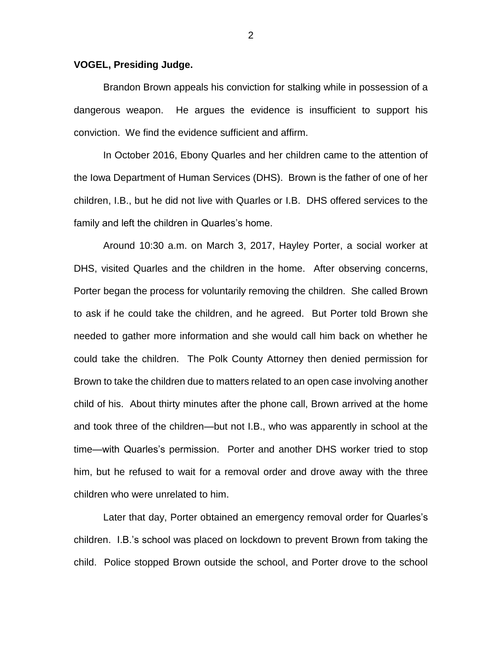#### **VOGEL, Presiding Judge.**

Brandon Brown appeals his conviction for stalking while in possession of a dangerous weapon. He argues the evidence is insufficient to support his conviction. We find the evidence sufficient and affirm.

In October 2016, Ebony Quarles and her children came to the attention of the Iowa Department of Human Services (DHS). Brown is the father of one of her children, I.B., but he did not live with Quarles or I.B. DHS offered services to the family and left the children in Quarles's home.

Around 10:30 a.m. on March 3, 2017, Hayley Porter, a social worker at DHS, visited Quarles and the children in the home. After observing concerns, Porter began the process for voluntarily removing the children. She called Brown to ask if he could take the children, and he agreed. But Porter told Brown she needed to gather more information and she would call him back on whether he could take the children. The Polk County Attorney then denied permission for Brown to take the children due to matters related to an open case involving another child of his. About thirty minutes after the phone call, Brown arrived at the home and took three of the children—but not I.B., who was apparently in school at the time—with Quarles's permission. Porter and another DHS worker tried to stop him, but he refused to wait for a removal order and drove away with the three children who were unrelated to him.

Later that day, Porter obtained an emergency removal order for Quarles's children. I.B.'s school was placed on lockdown to prevent Brown from taking the child. Police stopped Brown outside the school, and Porter drove to the school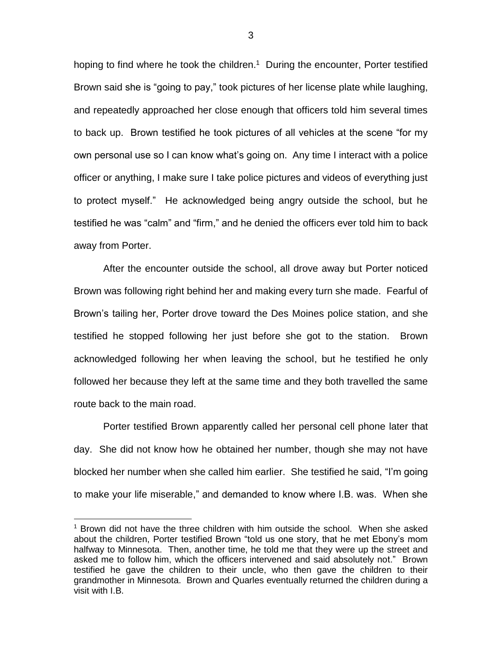hoping to find where he took the children.<sup>1</sup> During the encounter, Porter testified Brown said she is "going to pay," took pictures of her license plate while laughing, and repeatedly approached her close enough that officers told him several times to back up. Brown testified he took pictures of all vehicles at the scene "for my own personal use so I can know what's going on. Any time I interact with a police officer or anything, I make sure I take police pictures and videos of everything just to protect myself." He acknowledged being angry outside the school, but he testified he was "calm" and "firm," and he denied the officers ever told him to back away from Porter.

After the encounter outside the school, all drove away but Porter noticed Brown was following right behind her and making every turn she made. Fearful of Brown's tailing her, Porter drove toward the Des Moines police station, and she testified he stopped following her just before she got to the station. Brown acknowledged following her when leaving the school, but he testified he only followed her because they left at the same time and they both travelled the same route back to the main road.

Porter testified Brown apparently called her personal cell phone later that day. She did not know how he obtained her number, though she may not have blocked her number when she called him earlier. She testified he said, "I'm going to make your life miserable," and demanded to know where I.B. was. When she

 $\overline{a}$ 

<sup>1</sup> Brown did not have the three children with him outside the school. When she asked about the children, Porter testified Brown "told us one story, that he met Ebony's mom halfway to Minnesota. Then, another time, he told me that they were up the street and asked me to follow him, which the officers intervened and said absolutely not." Brown testified he gave the children to their uncle, who then gave the children to their grandmother in Minnesota. Brown and Quarles eventually returned the children during a visit with I.B.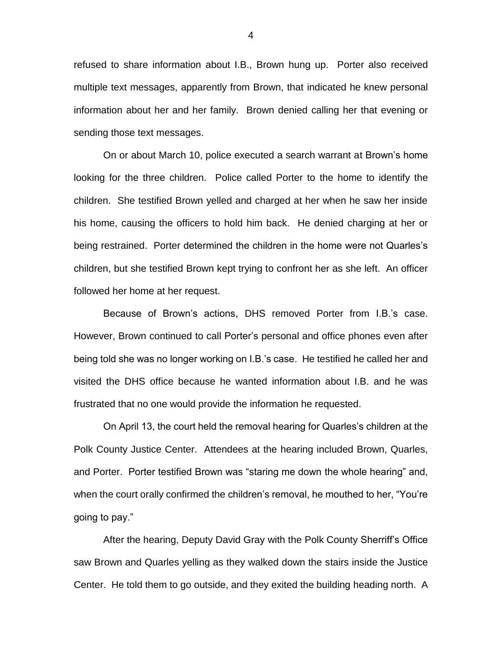refused to share information about I.B., Brown hung up. Porter also received multiple text messages, apparently from Brown, that indicated he knew personal information about her and her family. Brown denied calling her that evening or sending those text messages.

On or about March 10, police executed a search warrant at Brown's home looking for the three children. Police called Porter to the home to identify the children. She testified Brown yelled and charged at her when he saw her inside his home, causing the officers to hold him back. He denied charging at her or being restrained. Porter determined the children in the home were not Quarles's children, but she testified Brown kept trying to confront her as she left. An officer followed her home at her request.

Because of Brown's actions, DHS removed Porter from I.B.'s case. However, Brown continued to call Porter's personal and office phones even after being told she was no longer working on I.B.'s case. He testified he called her and visited the DHS office because he wanted information about I.B. and he was frustrated that no one would provide the information he requested.

On April 13, the court held the removal hearing for Quarles's children at the Polk County Justice Center. Attendees at the hearing included Brown, Quarles, and Porter. Porter testified Brown was "staring me down the whole hearing" and, when the court orally confirmed the children's removal, he mouthed to her, "You're going to pay."

After the hearing, Deputy David Gray with the Polk County Sherriff's Office saw Brown and Quarles yelling as they walked down the stairs inside the Justice Center. He told them to go outside, and they exited the building heading north. A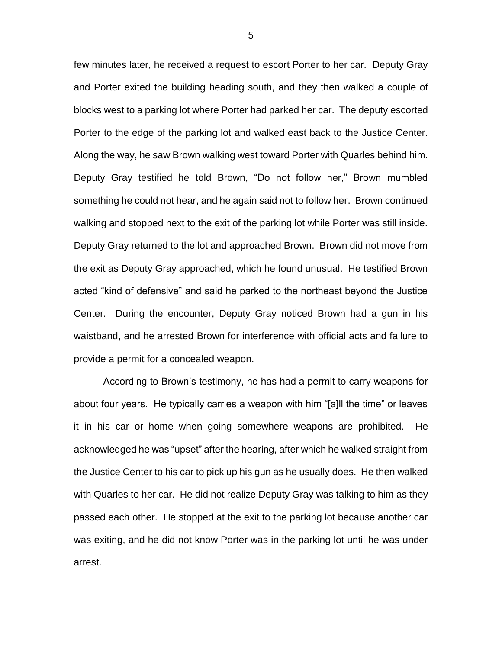few minutes later, he received a request to escort Porter to her car. Deputy Gray and Porter exited the building heading south, and they then walked a couple of blocks west to a parking lot where Porter had parked her car. The deputy escorted Porter to the edge of the parking lot and walked east back to the Justice Center. Along the way, he saw Brown walking west toward Porter with Quarles behind him. Deputy Gray testified he told Brown, "Do not follow her," Brown mumbled something he could not hear, and he again said not to follow her. Brown continued walking and stopped next to the exit of the parking lot while Porter was still inside. Deputy Gray returned to the lot and approached Brown. Brown did not move from the exit as Deputy Gray approached, which he found unusual. He testified Brown acted "kind of defensive" and said he parked to the northeast beyond the Justice Center. During the encounter, Deputy Gray noticed Brown had a gun in his waistband, and he arrested Brown for interference with official acts and failure to provide a permit for a concealed weapon.

According to Brown's testimony, he has had a permit to carry weapons for about four years. He typically carries a weapon with him "[a]ll the time" or leaves it in his car or home when going somewhere weapons are prohibited. He acknowledged he was "upset" after the hearing, after which he walked straight from the Justice Center to his car to pick up his gun as he usually does. He then walked with Quarles to her car. He did not realize Deputy Gray was talking to him as they passed each other. He stopped at the exit to the parking lot because another car was exiting, and he did not know Porter was in the parking lot until he was under arrest.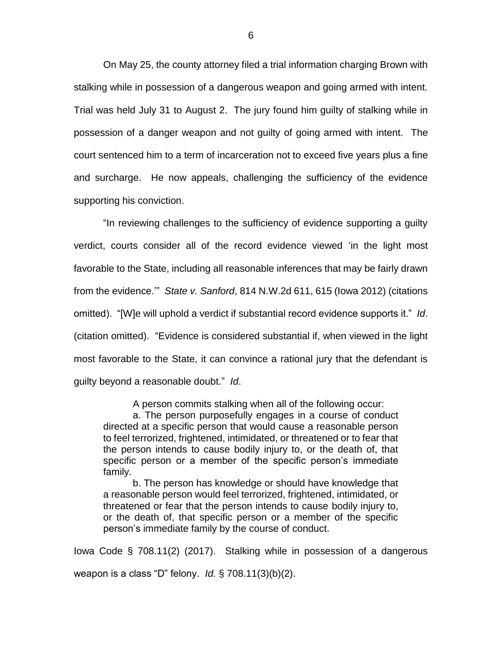On May 25, the county attorney filed a trial information charging Brown with stalking while in possession of a dangerous weapon and going armed with intent. Trial was held July 31 to August 2. The jury found him guilty of stalking while in possession of a danger weapon and not guilty of going armed with intent. The court sentenced him to a term of incarceration not to exceed five years plus a fine and surcharge. He now appeals, challenging the sufficiency of the evidence supporting his conviction.

"In reviewing challenges to the sufficiency of evidence supporting a guilty verdict, courts consider all of the record evidence viewed 'in the light most favorable to the State, including all reasonable inferences that may be fairly drawn from the evidence.'" *State v. Sanford*, 814 N.W.2d 611, 615 (Iowa 2012) (citations omitted). "[W]e will uphold a verdict if substantial record evidence supports it." *Id*. (citation omitted). "Evidence is considered substantial if, when viewed in the light most favorable to the State, it can convince a rational jury that the defendant is guilty beyond a reasonable doubt." *Id*.

A person commits stalking when all of the following occur:

a. The person purposefully engages in a course of conduct directed at a specific person that would cause a reasonable person to feel terrorized, frightened, intimidated, or threatened or to fear that the person intends to cause bodily injury to, or the death of, that specific person or a member of the specific person's immediate family.

b. The person has knowledge or should have knowledge that a reasonable person would feel terrorized, frightened, intimidated, or threatened or fear that the person intends to cause bodily injury to, or the death of, that specific person or a member of the specific person's immediate family by the course of conduct.

Iowa Code § 708.11(2) (2017). Stalking while in possession of a dangerous weapon is a class "D" felony. *Id.* § 708.11(3)(b)(2).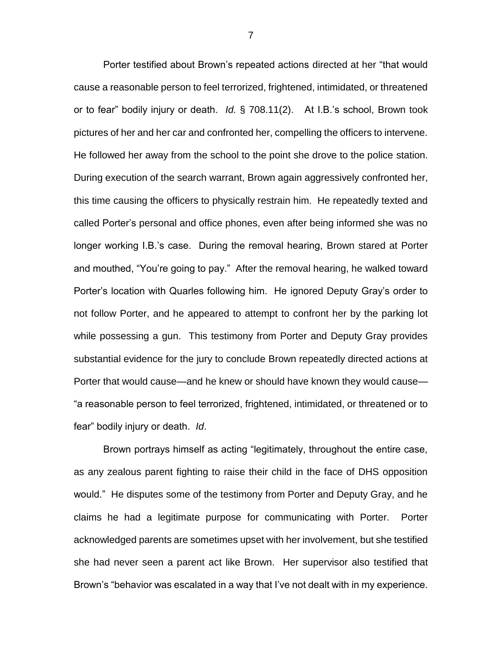Porter testified about Brown's repeated actions directed at her "that would cause a reasonable person to feel terrorized, frightened, intimidated, or threatened or to fear" bodily injury or death. *Id.* § 708.11(2). At I.B.'s school, Brown took pictures of her and her car and confronted her, compelling the officers to intervene. He followed her away from the school to the point she drove to the police station. During execution of the search warrant, Brown again aggressively confronted her, this time causing the officers to physically restrain him. He repeatedly texted and called Porter's personal and office phones, even after being informed she was no longer working I.B.'s case. During the removal hearing, Brown stared at Porter and mouthed, "You're going to pay." After the removal hearing, he walked toward Porter's location with Quarles following him. He ignored Deputy Gray's order to not follow Porter, and he appeared to attempt to confront her by the parking lot while possessing a gun. This testimony from Porter and Deputy Gray provides substantial evidence for the jury to conclude Brown repeatedly directed actions at Porter that would cause—and he knew or should have known they would cause— "a reasonable person to feel terrorized, frightened, intimidated, or threatened or to fear" bodily injury or death. *Id*.

Brown portrays himself as acting "legitimately, throughout the entire case, as any zealous parent fighting to raise their child in the face of DHS opposition would." He disputes some of the testimony from Porter and Deputy Gray, and he claims he had a legitimate purpose for communicating with Porter. Porter acknowledged parents are sometimes upset with her involvement, but she testified she had never seen a parent act like Brown. Her supervisor also testified that Brown's "behavior was escalated in a way that I've not dealt with in my experience.